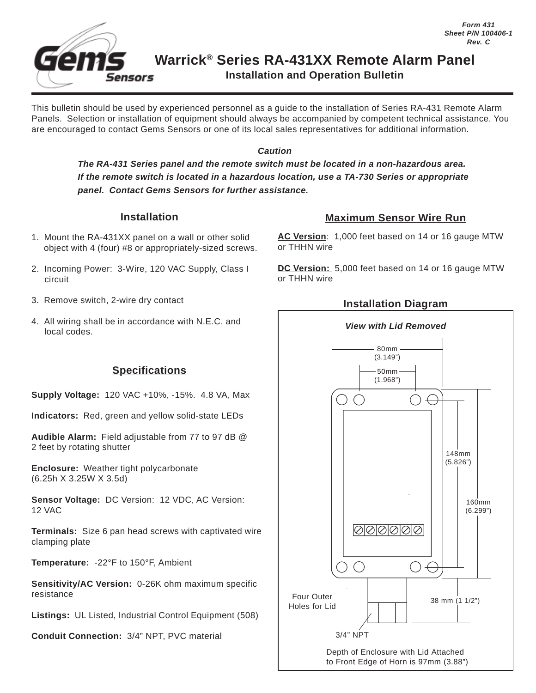

This bulletin should be used by experienced personnel as a guide to the installation of Series RA-431 Remote Alarm Panels. Selection or installation of equipment should always be accompanied by competent technical assistance. You are encouraged to contact Gems Sensors or one of its local sales representatives for additional information.

#### **Caution**

**The RA-431 Series panel and the remote switch must be located in a non-hazardous area. If the remote switch is located in a hazardous location, use a TA-730 Series or appropriate panel. Contact Gems Sensors for further assistance.**

#### **Installation**

- 1. Mount the RA-431XX panel on a wall or other solid object with 4 (four) #8 or appropriately-sized screws.
- 2. Incoming Power: 3-Wire, 120 VAC Supply, Class I circuit
- 3. Remove switch, 2-wire dry contact
- 4. All wiring shall be in accordance with N.E.C. and local codes.

# **Specifications**

**Supply Voltage:** 120 VAC +10%, -15%. 4.8 VA, Max

**Indicators:** Red, green and yellow solid-state LEDs

**Audible Alarm:** Field adjustable from 77 to 97 dB @ 2 feet by rotating shutter

**Enclosure:** Weather tight polycarbonate (6.25h X 3.25W X 3.5d)

**Sensor Voltage:** DC Version: 12 VDC, AC Version: 12 VAC

**Terminals:** Size 6 pan head screws with captivated wire clamping plate

**Temperature:** -22°F to 150°F, Ambient

**Sensitivity/AC Version:** 0-26K ohm maximum specific resistance

**Listings:** UL Listed, Industrial Control Equipment (508)

**Conduit Connection:** 3/4" NPT, PVC material

# **Maximum Sensor Wire Run**

**AC Version**: 1,000 feet based on 14 or 16 gauge MTW or THHN wire

**DC Version:** 5,000 feet based on 14 or 16 gauge MTW or THHN wire

### **Installation Diagram**